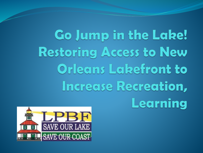Go Jump in the Lake! **Restoring Access to New Orleans Lakefront to** Increase Recreation, Learning

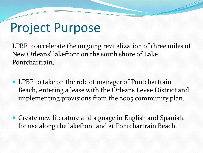## Project Purpose

LPBF to accelerate the ongoing revitalization of three miles of New Orleans' lakefront on the south shore of Lake Pontchartrain.

- LPBF to take on the role of manager of Pontchartrain Beach, entering a lease with the Orleans Levee District and implementing provisions from the 2005 community plan.
- Create new literature and signage in English and Spanish, for use along the lakefront and at Pontchartrain Beach.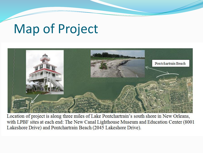## Map of Project



Location of project is along three miles of Lake Pontchartrain's south shore in New Orleans, with LPBF sites at each end: The New Canal Lighthouse Museum and Education Center (8001) Lakeshore Drive) and Pontchartrain Beach (2045 Lakeshore Drive).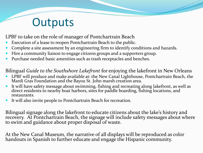## **Outputs**

LPBF to take on the role of manager of Pontchartrain Beach

- Execution of a lease to reopen Pontchartrain Beach to the public.
- Complete a site assessment by an engineering firm to identify conditions and hazards.
- Hire a community liaison to engage citizens groups and a supporters group.
- Purchase needed basic amenities such as trash receptacles and benches.

Bilingual *Guide to the Southshore Lakefront* for enjoying the lakefront in New Orleans

- LPBF will produce and make available at: the New Canal Lighthouse, Pontchartrain Beach, the Mardi Gras Foundation and the Bayou St. John marsh creation area.
- It will have safety message about swimming, fishing and recreating along lakefront, as well as direct residents to nearby boat harbors, sites for paddle boarding, fishing locations, and restaurants.
- It will also invite people to Pontchartrain Beach for recreation.

Bilingual signage along the lakefront to educate citizens about the lake's history and recovery. At Pontchartrain Beach, the signage will include safety messages about where to swim and guidance about proper disposal of waste.

At the New Canal Museum, the narrative of all displays will be reproduced as color handouts in Spanish to further educate and engage the Hispanic community.